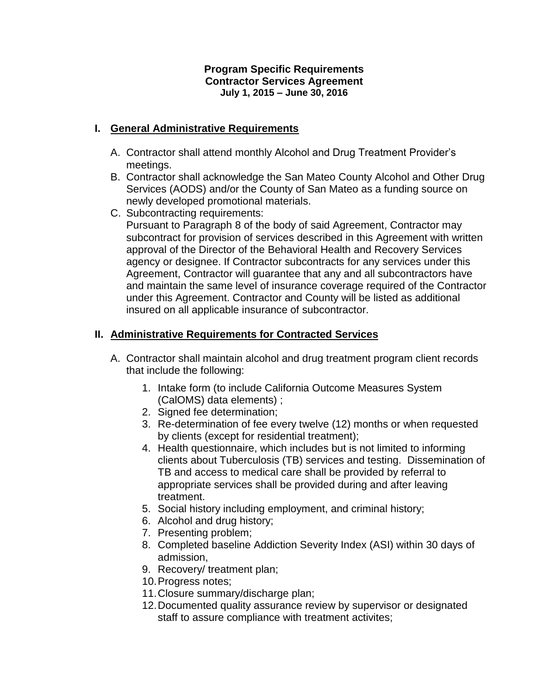#### **Program Specific Requirements Contractor Services Agreement July 1, 2015 – June 30, 2016**

## **I. General Administrative Requirements**

- A. Contractor shall attend monthly Alcohol and Drug Treatment Provider's meetings.
- B. Contractor shall acknowledge the San Mateo County Alcohol and Other Drug Services (AODS) and/or the County of San Mateo as a funding source on newly developed promotional materials.
- C. Subcontracting requirements: Pursuant to Paragraph 8 of the body of said Agreement, Contractor may subcontract for provision of services described in this Agreement with written approval of the Director of the Behavioral Health and Recovery Services agency or designee. If Contractor subcontracts for any services under this Agreement, Contractor will guarantee that any and all subcontractors have and maintain the same level of insurance coverage required of the Contractor under this Agreement. Contractor and County will be listed as additional insured on all applicable insurance of subcontractor.

### **II. Administrative Requirements for Contracted Services**

- A. Contractor shall maintain alcohol and drug treatment program client records that include the following:
	- 1. Intake form (to include California Outcome Measures System (CalOMS) data elements) ;
	- 2. Signed fee determination;
	- 3. Re-determination of fee every twelve (12) months or when requested by clients (except for residential treatment);
	- 4. Health questionnaire, which includes but is not limited to informing clients about Tuberculosis (TB) services and testing. Dissemination of TB and access to medical care shall be provided by referral to appropriate services shall be provided during and after leaving treatment.
	- 5. Social history including employment, and criminal history;
	- 6. Alcohol and drug history;
	- 7. Presenting problem;
	- 8. Completed baseline Addiction Severity Index (ASI) within 30 days of admission,
	- 9. Recovery/ treatment plan;
	- 10.Progress notes;
	- 11.Closure summary/discharge plan;
	- 12.Documented quality assurance review by supervisor or designated staff to assure compliance with treatment activites;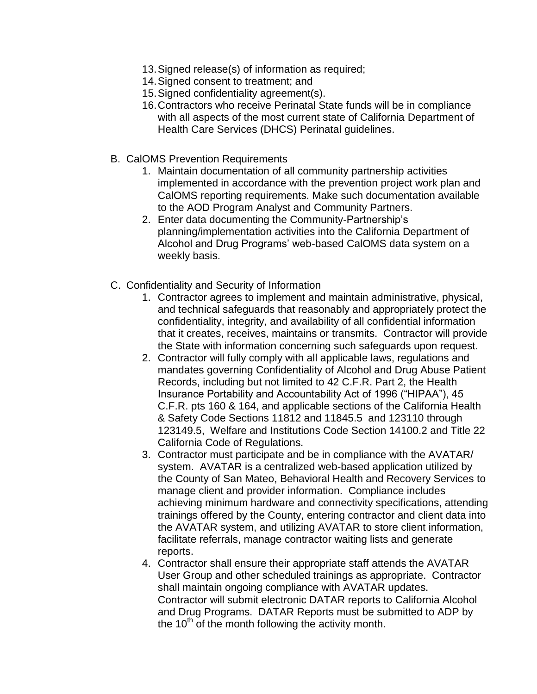- 13.Signed release(s) of information as required;
- 14.Signed consent to treatment; and
- 15.Signed confidentiality agreement(s).
- 16.Contractors who receive Perinatal State funds will be in compliance with all aspects of the most current state of California Department of Health Care Services (DHCS) Perinatal guidelines.
- B. CalOMS Prevention Requirements
	- 1. Maintain documentation of all community partnership activities implemented in accordance with the prevention project work plan and CalOMS reporting requirements. Make such documentation available to the AOD Program Analyst and Community Partners.
	- 2. Enter data documenting the Community-Partnership's planning/implementation activities into the California Department of Alcohol and Drug Programs' web-based CalOMS data system on a weekly basis.
- C. Confidentiality and Security of Information
	- 1. Contractor agrees to implement and maintain administrative, physical, and technical safeguards that reasonably and appropriately protect the confidentiality, integrity, and availability of all confidential information that it creates, receives, maintains or transmits. Contractor will provide the State with information concerning such safeguards upon request.
	- 2. Contractor will fully comply with all applicable laws, regulations and mandates governing Confidentiality of Alcohol and Drug Abuse Patient Records, including but not limited to 42 C.F.R. Part 2, the Health Insurance Portability and Accountability Act of 1996 ("HIPAA"), 45 C.F.R. pts 160 & 164, and applicable sections of the California Health & Safety Code Sections 11812 and 11845.5 and 123110 through 123149.5, Welfare and Institutions Code Section 14100.2 and Title 22 California Code of Regulations.
	- 3. Contractor must participate and be in compliance with the AVATAR/ system. AVATAR is a centralized web-based application utilized by the County of San Mateo, Behavioral Health and Recovery Services to manage client and provider information. Compliance includes achieving minimum hardware and connectivity specifications, attending trainings offered by the County, entering contractor and client data into the AVATAR system, and utilizing AVATAR to store client information, facilitate referrals, manage contractor waiting lists and generate reports.
	- 4. Contractor shall ensure their appropriate staff attends the AVATAR User Group and other scheduled trainings as appropriate. Contractor shall maintain ongoing compliance with AVATAR updates. Contractor will submit electronic DATAR reports to California Alcohol and Drug Programs. DATAR Reports must be submitted to ADP by the 10<sup>th</sup> of the month following the activity month.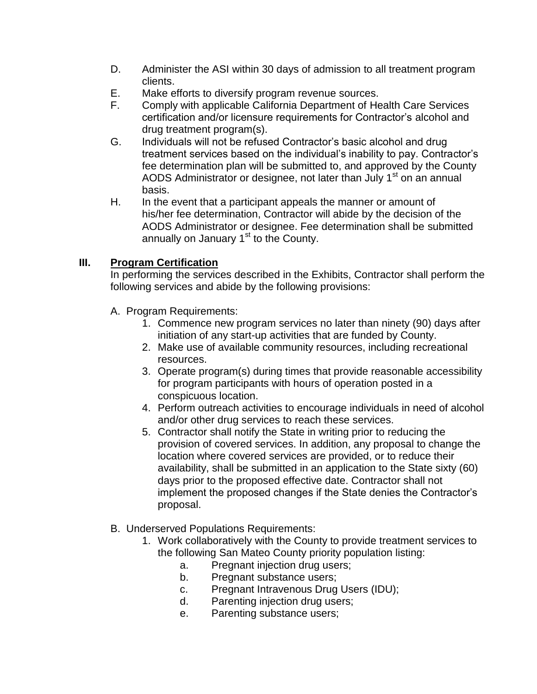- D. Administer the ASI within 30 days of admission to all treatment program clients.
- E. Make efforts to diversify program revenue sources.
- F. Comply with applicable California Department of Health Care Services certification and/or licensure requirements for Contractor's alcohol and drug treatment program(s).
- G. Individuals will not be refused Contractor's basic alcohol and drug treatment services based on the individual's inability to pay. Contractor's fee determination plan will be submitted to, and approved by the County AODS Administrator or designee, not later than July 1<sup>st</sup> on an annual basis.
- H. In the event that a participant appeals the manner or amount of his/her fee determination, Contractor will abide by the decision of the AODS Administrator or designee. Fee determination shall be submitted annually on January  $1<sup>st</sup>$  to the County.

# **III. Program Certification**

In performing the services described in the Exhibits, Contractor shall perform the following services and abide by the following provisions:

- A. Program Requirements:
	- 1. Commence new program services no later than ninety (90) days after initiation of any start-up activities that are funded by County.
	- 2. Make use of available community resources, including recreational resources.
	- 3. Operate program(s) during times that provide reasonable accessibility for program participants with hours of operation posted in a conspicuous location.
	- 4. Perform outreach activities to encourage individuals in need of alcohol and/or other drug services to reach these services.
	- 5. Contractor shall notify the State in writing prior to reducing the provision of covered services. In addition, any proposal to change the location where covered services are provided, or to reduce their availability, shall be submitted in an application to the State sixty (60) days prior to the proposed effective date. Contractor shall not implement the proposed changes if the State denies the Contractor's proposal.
- B. Underserved Populations Requirements:
	- 1. Work collaboratively with the County to provide treatment services to the following San Mateo County priority population listing:
		- a. Pregnant injection drug users;
		- b. Pregnant substance users;
		- c. Pregnant Intravenous Drug Users (IDU);
		- d. Parenting injection drug users;
		- e. Parenting substance users;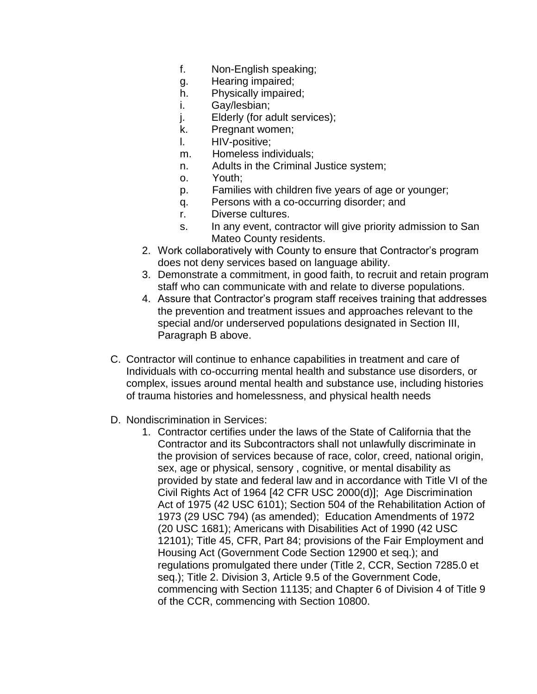- f. Non-English speaking;
- g. Hearing impaired;
- h. Physically impaired;
- i. Gay/lesbian;
- j. Elderly (for adult services);
- k. Pregnant women;
- l. HIV-positive;
- m. Homeless individuals;
- n. Adults in the Criminal Justice system;
- o. Youth;
- p. Families with children five years of age or younger;
- q. Persons with a co-occurring disorder; and
- r. Diverse cultures.
- s. In any event, contractor will give priority admission to San Mateo County residents.
- 2. Work collaboratively with County to ensure that Contractor's program does not deny services based on language ability.
- 3. Demonstrate a commitment, in good faith, to recruit and retain program staff who can communicate with and relate to diverse populations.
- 4. Assure that Contractor's program staff receives training that addresses the prevention and treatment issues and approaches relevant to the special and/or underserved populations designated in Section III, Paragraph B above.
- C. Contractor will continue to enhance capabilities in treatment and care of Individuals with co-occurring mental health and substance use disorders, or complex, issues around mental health and substance use, including histories of trauma histories and homelessness, and physical health needs
- D. Nondiscrimination in Services:
	- 1. Contractor certifies under the laws of the State of California that the Contractor and its Subcontractors shall not unlawfully discriminate in the provision of services because of race, color, creed, national origin, sex, age or physical, sensory , cognitive, or mental disability as provided by state and federal law and in accordance with Title VI of the Civil Rights Act of 1964 [42 CFR USC 2000(d)]; Age Discrimination Act of 1975 (42 USC 6101); Section 504 of the Rehabilitation Action of 1973 (29 USC 794) (as amended); Education Amendments of 1972 (20 USC 1681); Americans with Disabilities Act of 1990 (42 USC 12101); Title 45, CFR, Part 84; provisions of the Fair Employment and Housing Act (Government Code Section 12900 et seq.); and regulations promulgated there under (Title 2, CCR, Section 7285.0 et seq.); Title 2. Division 3, Article 9.5 of the Government Code, commencing with Section 11135; and Chapter 6 of Division 4 of Title 9 of the CCR, commencing with Section 10800.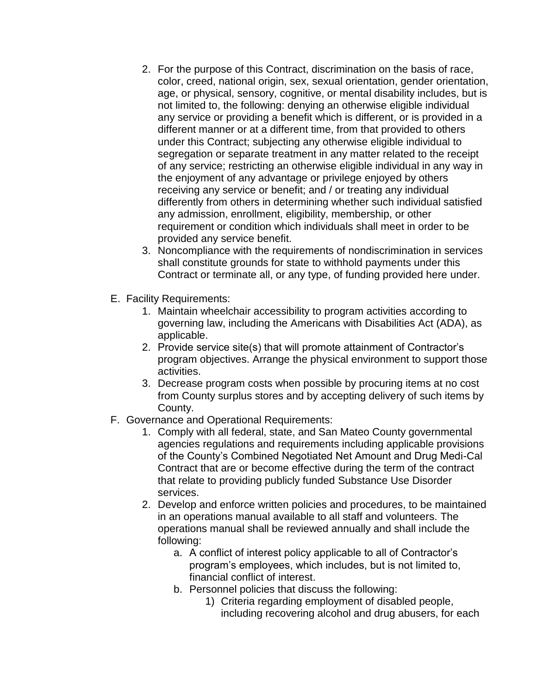- 2. For the purpose of this Contract, discrimination on the basis of race, color, creed, national origin, sex, sexual orientation, gender orientation, age, or physical, sensory, cognitive, or mental disability includes, but is not limited to, the following: denying an otherwise eligible individual any service or providing a benefit which is different, or is provided in a different manner or at a different time, from that provided to others under this Contract; subjecting any otherwise eligible individual to segregation or separate treatment in any matter related to the receipt of any service; restricting an otherwise eligible individual in any way in the enjoyment of any advantage or privilege enjoyed by others receiving any service or benefit; and / or treating any individual differently from others in determining whether such individual satisfied any admission, enrollment, eligibility, membership, or other requirement or condition which individuals shall meet in order to be provided any service benefit.
- 3. Noncompliance with the requirements of nondiscrimination in services shall constitute grounds for state to withhold payments under this Contract or terminate all, or any type, of funding provided here under.
- E. Facility Requirements:
	- 1. Maintain wheelchair accessibility to program activities according to governing law, including the Americans with Disabilities Act (ADA), as applicable.
	- 2. Provide service site(s) that will promote attainment of Contractor's program objectives. Arrange the physical environment to support those activities.
	- 3. Decrease program costs when possible by procuring items at no cost from County surplus stores and by accepting delivery of such items by County.
- F. Governance and Operational Requirements:
	- 1. Comply with all federal, state, and San Mateo County governmental agencies regulations and requirements including applicable provisions of the County's Combined Negotiated Net Amount and Drug Medi-Cal Contract that are or become effective during the term of the contract that relate to providing publicly funded Substance Use Disorder services.
	- 2. Develop and enforce written policies and procedures, to be maintained in an operations manual available to all staff and volunteers. The operations manual shall be reviewed annually and shall include the following:
		- a. A conflict of interest policy applicable to all of Contractor's program's employees, which includes, but is not limited to, financial conflict of interest.
		- b. Personnel policies that discuss the following:
			- 1) Criteria regarding employment of disabled people, including recovering alcohol and drug abusers, for each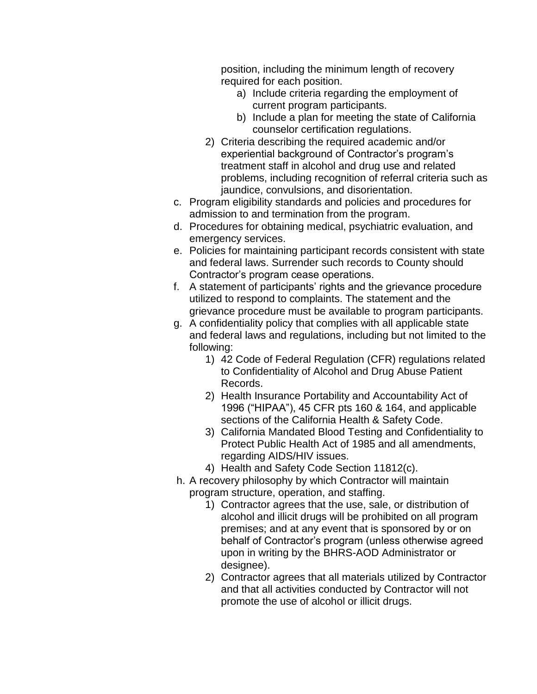position, including the minimum length of recovery required for each position.

- a) Include criteria regarding the employment of current program participants.
- b) Include a plan for meeting the state of California counselor certification regulations.
- 2) Criteria describing the required academic and/or experiential background of Contractor's program's treatment staff in alcohol and drug use and related problems, including recognition of referral criteria such as jaundice, convulsions, and disorientation.
- c. Program eligibility standards and policies and procedures for admission to and termination from the program.
- d. Procedures for obtaining medical, psychiatric evaluation, and emergency services.
- e. Policies for maintaining participant records consistent with state and federal laws. Surrender such records to County should Contractor's program cease operations.
- f. A statement of participants' rights and the grievance procedure utilized to respond to complaints. The statement and the grievance procedure must be available to program participants.
- g. A confidentiality policy that complies with all applicable state and federal laws and regulations, including but not limited to the following:
	- 1) 42 Code of Federal Regulation (CFR) regulations related to Confidentiality of Alcohol and Drug Abuse Patient Records.
	- 2) Health Insurance Portability and Accountability Act of 1996 ("HIPAA"), 45 CFR pts 160 & 164, and applicable sections of the California Health & Safety Code.
	- 3) California Mandated Blood Testing and Confidentiality to Protect Public Health Act of 1985 and all amendments, regarding AIDS/HIV issues.
	- 4) Health and Safety Code Section 11812(c).
- h. A recovery philosophy by which Contractor will maintain program structure, operation, and staffing.
	- 1) Contractor agrees that the use, sale, or distribution of alcohol and illicit drugs will be prohibited on all program premises; and at any event that is sponsored by or on behalf of Contractor's program (unless otherwise agreed upon in writing by the BHRS-AOD Administrator or designee).
	- 2) Contractor agrees that all materials utilized by Contractor and that all activities conducted by Contractor will not promote the use of alcohol or illicit drugs.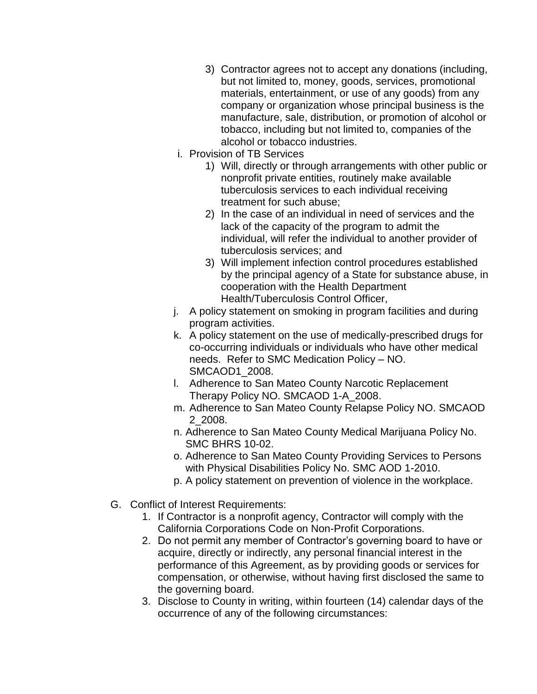- 3) Contractor agrees not to accept any donations (including, but not limited to, money, goods, services, promotional materials, entertainment, or use of any goods) from any company or organization whose principal business is the manufacture, sale, distribution, or promotion of alcohol or tobacco, including but not limited to, companies of the alcohol or tobacco industries.
- i. Provision of TB Services
	- 1) Will, directly or through arrangements with other public or nonprofit private entities, routinely make available tuberculosis services to each individual receiving treatment for such abuse;
	- 2) In the case of an individual in need of services and the lack of the capacity of the program to admit the individual, will refer the individual to another provider of tuberculosis services; and
	- 3) Will implement infection control procedures established by the principal agency of a State for substance abuse, in cooperation with the Health Department Health/Tuberculosis Control Officer,
- j. A policy statement on smoking in program facilities and during program activities.
- k. A policy statement on the use of medically-prescribed drugs for co-occurring individuals or individuals who have other medical needs. Refer to SMC Medication Policy – NO. SMCAOD1\_2008.
- l. Adherence to San Mateo County Narcotic Replacement Therapy Policy NO. SMCAOD 1-A\_2008.
- m. Adherence to San Mateo County Relapse Policy NO. SMCAOD 2\_2008.
- n. Adherence to San Mateo County Medical Marijuana Policy No. SMC BHRS 10-02.
- o. Adherence to San Mateo County Providing Services to Persons with Physical Disabilities Policy No. SMC AOD 1-2010.
- p. A policy statement on prevention of violence in the workplace.
- G. Conflict of Interest Requirements:
	- 1. If Contractor is a nonprofit agency, Contractor will comply with the California Corporations Code on Non-Profit Corporations.
	- 2. Do not permit any member of Contractor's governing board to have or acquire, directly or indirectly, any personal financial interest in the performance of this Agreement, as by providing goods or services for compensation, or otherwise, without having first disclosed the same to the governing board.
	- 3. Disclose to County in writing, within fourteen (14) calendar days of the occurrence of any of the following circumstances: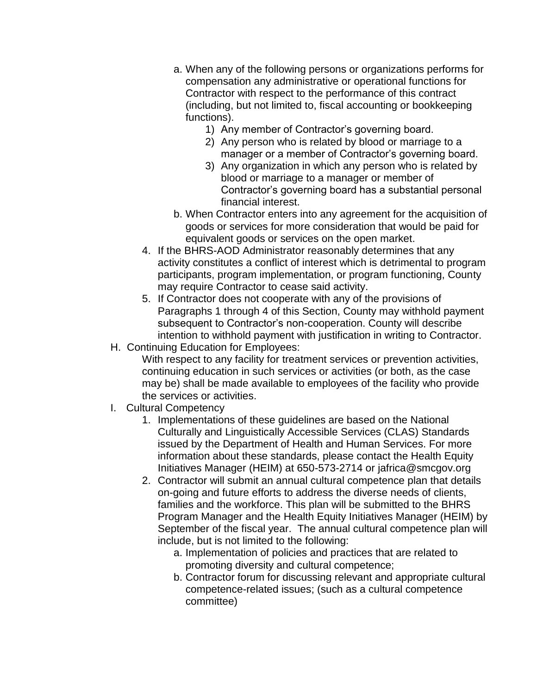- a. When any of the following persons or organizations performs for compensation any administrative or operational functions for Contractor with respect to the performance of this contract (including, but not limited to, fiscal accounting or bookkeeping functions).
	- 1) Any member of Contractor's governing board.
	- 2) Any person who is related by blood or marriage to a manager or a member of Contractor's governing board.
	- 3) Any organization in which any person who is related by blood or marriage to a manager or member of Contractor's governing board has a substantial personal financial interest.
- b. When Contractor enters into any agreement for the acquisition of goods or services for more consideration that would be paid for equivalent goods or services on the open market.
- 4. If the BHRS-AOD Administrator reasonably determines that any activity constitutes a conflict of interest which is detrimental to program participants, program implementation, or program functioning, County may require Contractor to cease said activity.
- 5. If Contractor does not cooperate with any of the provisions of Paragraphs 1 through 4 of this Section, County may withhold payment subsequent to Contractor's non-cooperation. County will describe intention to withhold payment with justification in writing to Contractor.
- H. Continuing Education for Employees:

With respect to any facility for treatment services or prevention activities, continuing education in such services or activities (or both, as the case may be) shall be made available to employees of the facility who provide the services or activities.

- I. Cultural Competency
	- 1. Implementations of these guidelines are based on the National Culturally and Linguistically Accessible Services (CLAS) Standards issued by the Department of Health and Human Services. For more information about these standards, please contact the Health Equity Initiatives Manager (HEIM) at 650-573-2714 or [jafrica@smcgov.org](mailto:jafrica@smcgov.org)
	- 2. Contractor will submit an annual cultural competence plan that details on-going and future efforts to address the diverse needs of clients, families and the workforce. This plan will be submitted to the BHRS Program Manager and the Health Equity Initiatives Manager (HEIM) by September of the fiscal year. The annual cultural competence plan will include, but is not limited to the following:
		- a. Implementation of policies and practices that are related to promoting diversity and cultural competence;
		- b. Contractor forum for discussing relevant and appropriate cultural competence-related issues; (such as a cultural competence committee)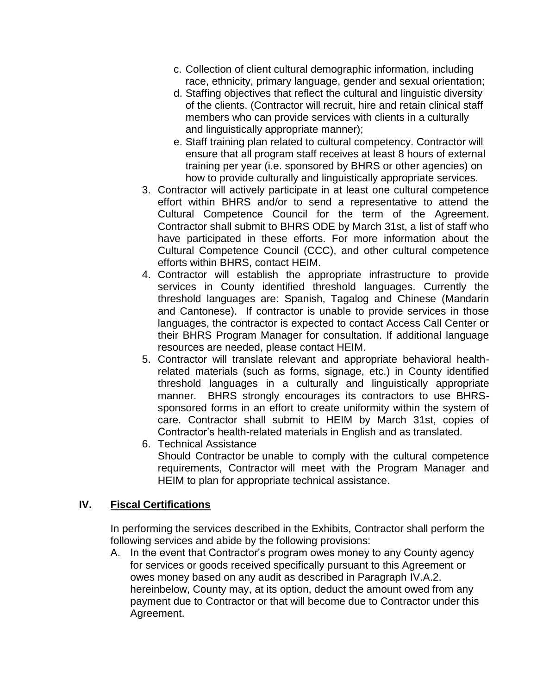- c. Collection of client cultural demographic information, including race, ethnicity, primary language, gender and sexual orientation;
- d. Staffing objectives that reflect the cultural and linguistic diversity of the clients. (Contractor will recruit, hire and retain clinical staff members who can provide services with clients in a culturally and linguistically appropriate manner);
- e. Staff training plan related to cultural competency. Contractor will ensure that all program staff receives at least 8 hours of external training per year (i.e. sponsored by BHRS or other agencies) on how to provide culturally and linguistically appropriate services.
- 3. Contractor will actively participate in at least one cultural competence effort within BHRS and/or to send a representative to attend the Cultural Competence Council for the term of the Agreement. Contractor shall submit to BHRS ODE by March 31st, a list of staff who have participated in these efforts. For more information about the Cultural Competence Council (CCC), and other cultural competence efforts within BHRS, contact HEIM.
- 4. Contractor will establish the appropriate infrastructure to provide services in County identified threshold languages. Currently the threshold languages are: Spanish, Tagalog and Chinese (Mandarin and Cantonese). If contractor is unable to provide services in those languages, the contractor is expected to contact Access Call Center or their BHRS Program Manager for consultation. If additional language resources are needed, please contact HEIM.
- 5. Contractor will translate relevant and appropriate behavioral healthrelated materials (such as forms, signage, etc.) in County identified threshold languages in a culturally and linguistically appropriate manner. BHRS strongly encourages its contractors to use BHRSsponsored forms in an effort to create uniformity within the system of care. Contractor shall submit to HEIM by March 31st, copies of Contractor's health-related materials in English and as translated.
- 6. Technical Assistance Should Contractor be unable to comply with the cultural competence requirements, Contractor will meet with the Program Manager and HEIM to plan for appropriate technical assistance.

### **IV. Fiscal Certifications**

In performing the services described in the Exhibits, Contractor shall perform the following services and abide by the following provisions:

A. In the event that Contractor's program owes money to any County agency for services or goods received specifically pursuant to this Agreement or owes money based on any audit as described in Paragraph IV.A.2. hereinbelow, County may, at its option, deduct the amount owed from any payment due to Contractor or that will become due to Contractor under this Agreement.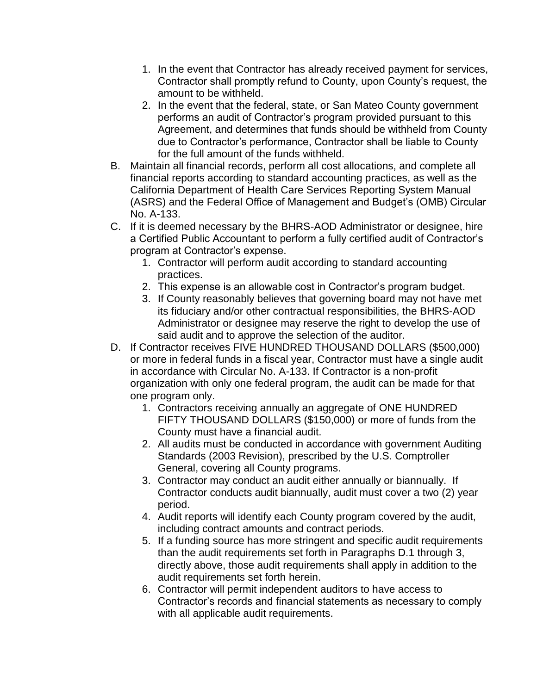- 1. In the event that Contractor has already received payment for services, Contractor shall promptly refund to County, upon County's request, the amount to be withheld.
- 2. In the event that the federal, state, or San Mateo County government performs an audit of Contractor's program provided pursuant to this Agreement, and determines that funds should be withheld from County due to Contractor's performance, Contractor shall be liable to County for the full amount of the funds withheld.
- B. Maintain all financial records, perform all cost allocations, and complete all financial reports according to standard accounting practices, as well as the California Department of Health Care Services Reporting System Manual (ASRS) and the Federal Office of Management and Budget's (OMB) Circular No. A-133.
- C. If it is deemed necessary by the BHRS-AOD Administrator or designee, hire a Certified Public Accountant to perform a fully certified audit of Contractor's program at Contractor's expense.
	- 1. Contractor will perform audit according to standard accounting practices.
	- 2. This expense is an allowable cost in Contractor's program budget.
	- 3. If County reasonably believes that governing board may not have met its fiduciary and/or other contractual responsibilities, the BHRS-AOD Administrator or designee may reserve the right to develop the use of said audit and to approve the selection of the auditor.
- D. If Contractor receives FIVE HUNDRED THOUSAND DOLLARS (\$500,000) or more in federal funds in a fiscal year, Contractor must have a single audit in accordance with Circular No. A-133. If Contractor is a non-profit organization with only one federal program, the audit can be made for that one program only.
	- 1. Contractors receiving annually an aggregate of ONE HUNDRED FIFTY THOUSAND DOLLARS (\$150,000) or more of funds from the County must have a financial audit.
	- 2. All audits must be conducted in accordance with government Auditing Standards (2003 Revision), prescribed by the U.S. Comptroller General, covering all County programs.
	- 3. Contractor may conduct an audit either annually or biannually. If Contractor conducts audit biannually, audit must cover a two (2) year period.
	- 4. Audit reports will identify each County program covered by the audit, including contract amounts and contract periods.
	- 5. If a funding source has more stringent and specific audit requirements than the audit requirements set forth in Paragraphs D.1 through 3, directly above, those audit requirements shall apply in addition to the audit requirements set forth herein.
	- 6. Contractor will permit independent auditors to have access to Contractor's records and financial statements as necessary to comply with all applicable audit requirements.